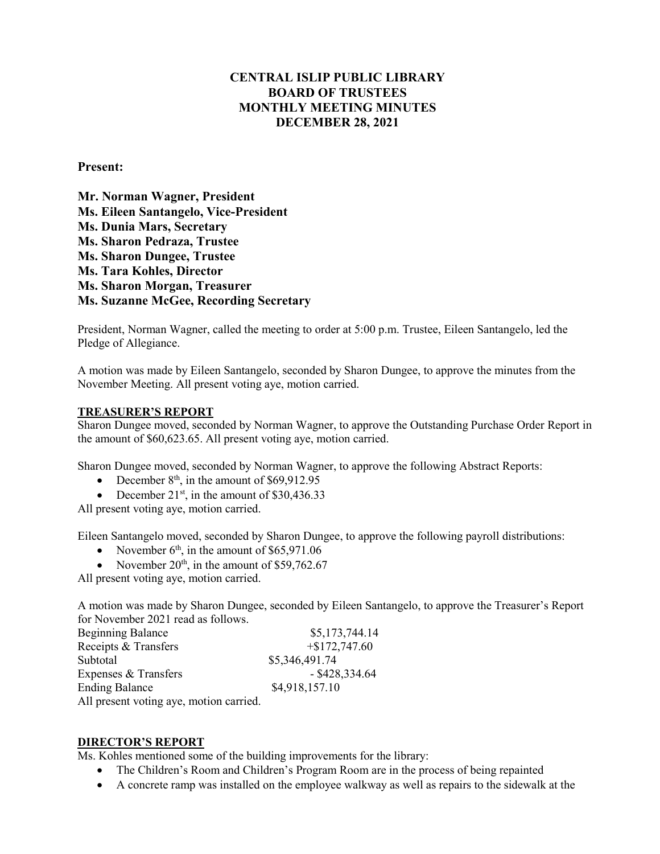# **CENTRAL ISLIP PUBLIC LIBRARY BOARD OF TRUSTEES MONTHLY MEETING MINUTES DECEMBER 28, 2021**

## **Present:**

**Mr. Norman Wagner, President Ms. Eileen Santangelo, Vice-President Ms. Dunia Mars, Secretary Ms. Sharon Pedraza, Trustee** **Ms. Sharon Dungee, Trustee Ms. Tara Kohles, Director Ms. Sharon Morgan, Treasurer Ms. Suzanne McGee, Recording Secretary**

President, Norman Wagner, called the meeting to order at 5:00 p.m. Trustee, Eileen Santangelo, led the Pledge of Allegiance.

A motion was made by Eileen Santangelo, seconded by Sharon Dungee, to approve the minutes from the November Meeting. All present voting aye, motion carried.

### **TREASURER'S REPORT**

Sharon Dungee moved, seconded by Norman Wagner, to approve the Outstanding Purchase Order Report in the amount of \$60,623.65. All present voting aye, motion carried.

Sharon Dungee moved, seconded by Norman Wagner, to approve the following Abstract Reports:

- December  $8<sup>th</sup>$ , in the amount of \$69,912.95
- December  $21^{st}$ , in the amount of \$30,436.33

All present voting aye, motion carried.

Eileen Santangelo moved, seconded by Sharon Dungee, to approve the following payroll distributions:

- November  $6<sup>th</sup>$ , in the amount of \$65,971.06
- November  $20<sup>th</sup>$ , in the amount of \$59,762.67

All present voting aye, motion carried.

A motion was made by Sharon Dungee, seconded by Eileen Santangelo, to approve the Treasurer's Report for November 2021 read as follows.

| <b>Beginning Balance</b>                | \$5,173,744.14   |
|-----------------------------------------|------------------|
| Receipts & Transfers                    | $+\$172,747.60$  |
| Subtotal                                | \$5,346,491.74   |
| Expenses & Transfers                    | $-$ \$428,334.64 |
| <b>Ending Balance</b>                   | \$4,918,157.10   |
| All present voting aye, motion carried. |                  |

#### **DIRECTOR'S REPORT**

Ms. Kohles mentioned some of the building improvements for the library:

- The Children's Room and Children's Program Room are in the process of being repainted
- A concrete ramp was installed on the employee walkway as well as repairs to the sidewalk at the